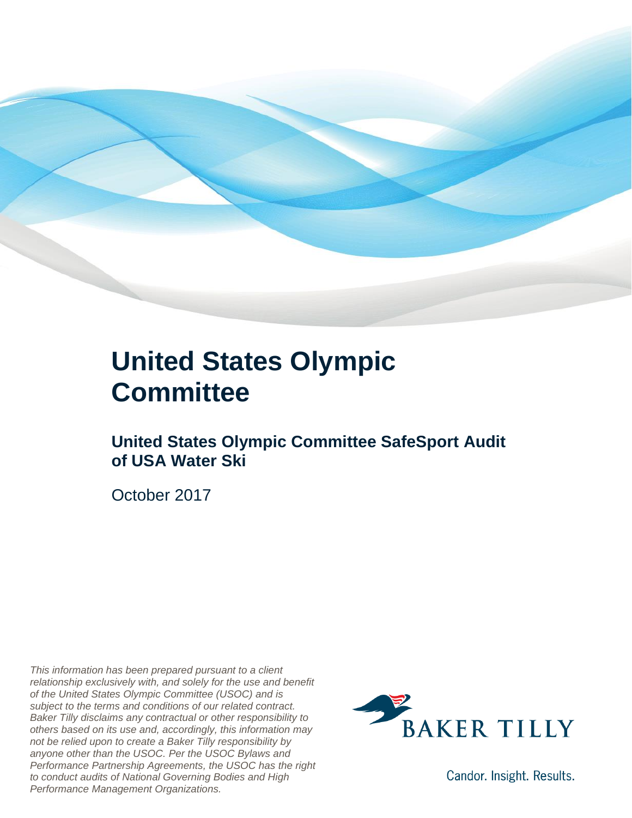

### **United States Olympic Committee**

#### **United States Olympic Committee SafeSport Audit of USA Water Ski**

October 2017

*This information has been prepared pursuant to a client relationship exclusively with, and solely for the use and benefit of the United States Olympic Committee (USOC) and is subject to the terms and conditions of our related contract. Baker Tilly disclaims any contractual or other responsibility to others based on its use and, accordingly, this information may not be relied upon to create a Baker Tilly responsibility by anyone other than the USOC. Per the USOC Bylaws and Performance Partnership Agreements, the USOC has the right to conduct audits of National Governing Bodies and High Performance Management Organizations.*



Candor. Insight. Results.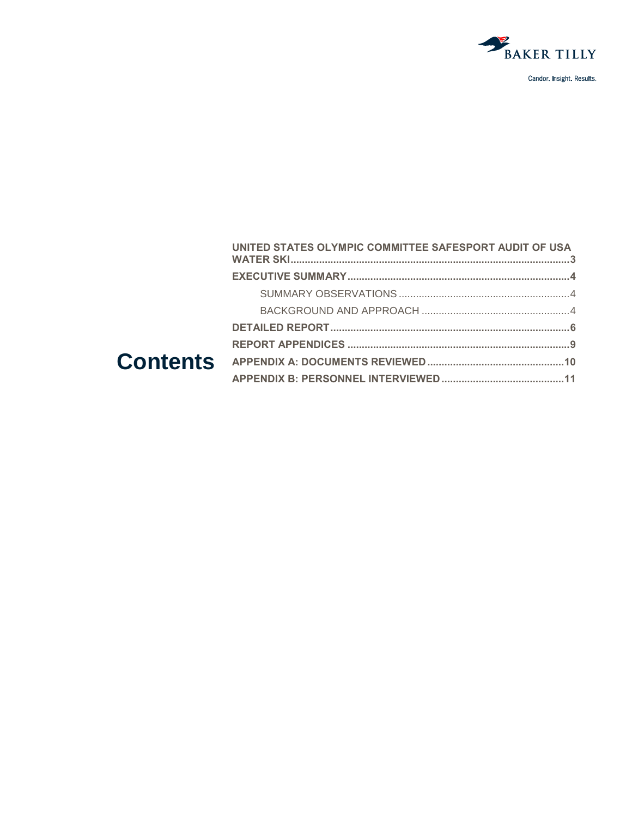

| UNITED STATES OLYMPIC COMMITTEE SAFESPORT AUDIT OF USA |  |
|--------------------------------------------------------|--|
|                                                        |  |
|                                                        |  |
|                                                        |  |
|                                                        |  |
|                                                        |  |
|                                                        |  |
|                                                        |  |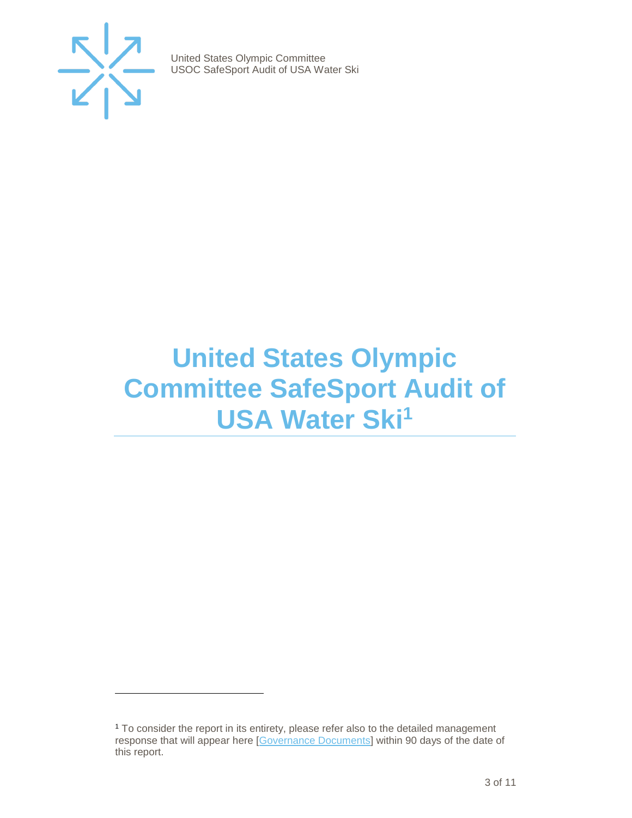

 $\overline{a}$ 

United States Olympic Committee USOC SafeSport Audit of USA Water Ski

## <span id="page-2-0"></span>**United States Olympic Committee SafeSport Audit of USA Water Ski<sup>1</sup>**

<sup>1</sup> To consider the report in its entirety, please refer also to the detailed management response that will appear here [\[Governance Documents\]](https://www.teamusa.org/Footer/Legal/Governance-Documents) within 90 days of the date of this report.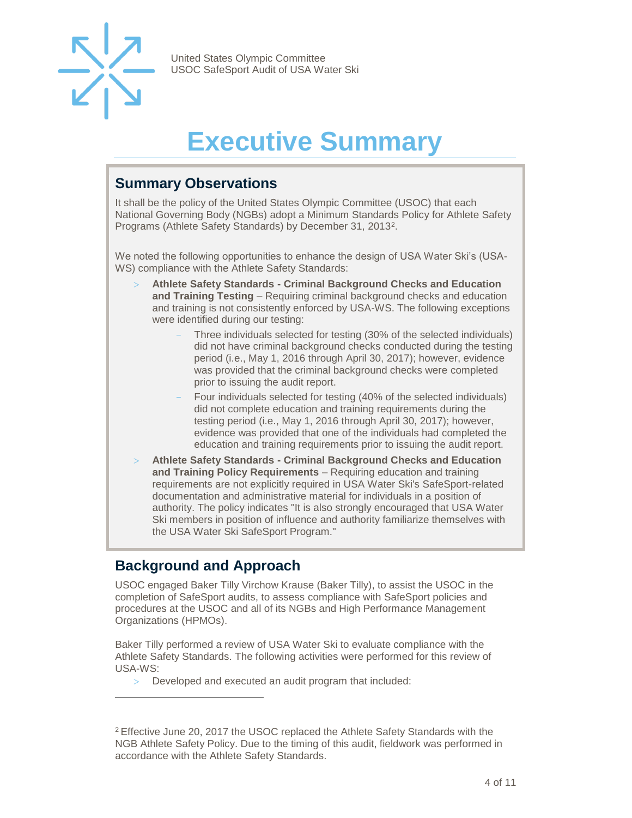

# **Executive Summary**

#### <span id="page-3-1"></span><span id="page-3-0"></span>**Summary Observations**

It shall be the policy of the United States Olympic Committee (USOC) that each National Governing Body (NGBs) adopt a Minimum Standards Policy for Athlete Safety Programs (Athlete Safety Standards) by December 31, 2013<sup>2</sup>.

We noted the following opportunities to enhance the design of USA Water Ski's (USA-WS) compliance with the Athlete Safety Standards:

- **Athlete Safety Standards - Criminal Background Checks and Education and Training Testing** – Requiring criminal background checks and education and training is not consistently enforced by USA-WS. The following exceptions were identified during our testing:
	- Three individuals selected for testing (30% of the selected individuals) did not have criminal background checks conducted during the testing period (i.e., May 1, 2016 through April 30, 2017); however, evidence was provided that the criminal background checks were completed prior to issuing the audit report.
	- Four individuals selected for testing (40% of the selected individuals) did not complete education and training requirements during the testing period (i.e., May 1, 2016 through April 30, 2017); however, evidence was provided that one of the individuals had completed the education and training requirements prior to issuing the audit report.
- **Athlete Safety Standards - Criminal Background Checks and Education and Training Policy Requirements** – Requiring education and training requirements are not explicitly required in USA Water Ski's SafeSport-related documentation and administrative material for individuals in a position of authority. The policy indicates "It is also strongly encouraged that USA Water Ski members in position of influence and authority familiarize themselves with the USA Water Ski SafeSport Program."

#### <span id="page-3-2"></span>**Background and Approach**

 $\overline{a}$ 

USOC engaged Baker Tilly Virchow Krause (Baker Tilly), to assist the USOC in the completion of SafeSport audits, to assess compliance with SafeSport policies and procedures at the USOC and all of its NGBs and High Performance Management Organizations (HPMOs).

Baker Tilly performed a review of USA Water Ski to evaluate compliance with the Athlete Safety Standards. The following activities were performed for this review of USA-WS:

Developed and executed an audit program that included:

<sup>2</sup> Effective June 20, 2017 the USOC replaced the Athlete Safety Standards with the NGB Athlete Safety Policy. Due to the timing of this audit, fieldwork was performed in accordance with the Athlete Safety Standards.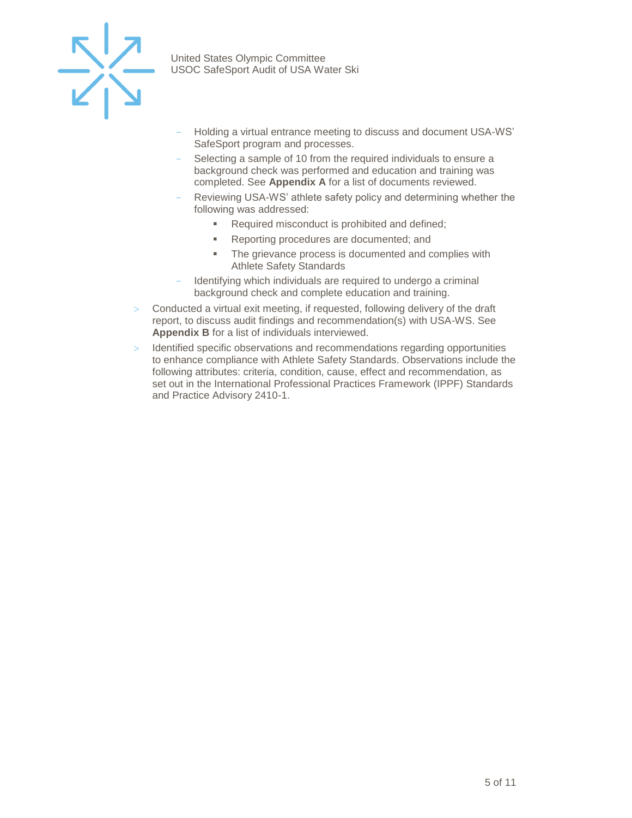

- Holding a virtual entrance meeting to discuss and document USA-WS' SafeSport program and processes.
- Selecting a sample of 10 from the required individuals to ensure a background check was performed and education and training was completed. See **Appendix A** for a list of documents reviewed.
- Reviewing USA-WS' athlete safety policy and determining whether the following was addressed:
	- Required misconduct is prohibited and defined;
	- Reporting procedures are documented; and
	- **•** The grievance process is documented and complies with Athlete Safety Standards
- Identifying which individuals are required to undergo a criminal background check and complete education and training.
- $>$  Conducted a virtual exit meeting, if requested, following delivery of the draft report, to discuss audit findings and recommendation(s) with USA-WS. See **Appendix B** for a list of individuals interviewed.
- Identified specific observations and recommendations regarding opportunities to enhance compliance with Athlete Safety Standards. Observations include the following attributes: criteria, condition, cause, effect and recommendation, as set out in the International Professional Practices Framework (IPPF) Standards and Practice Advisory 2410-1.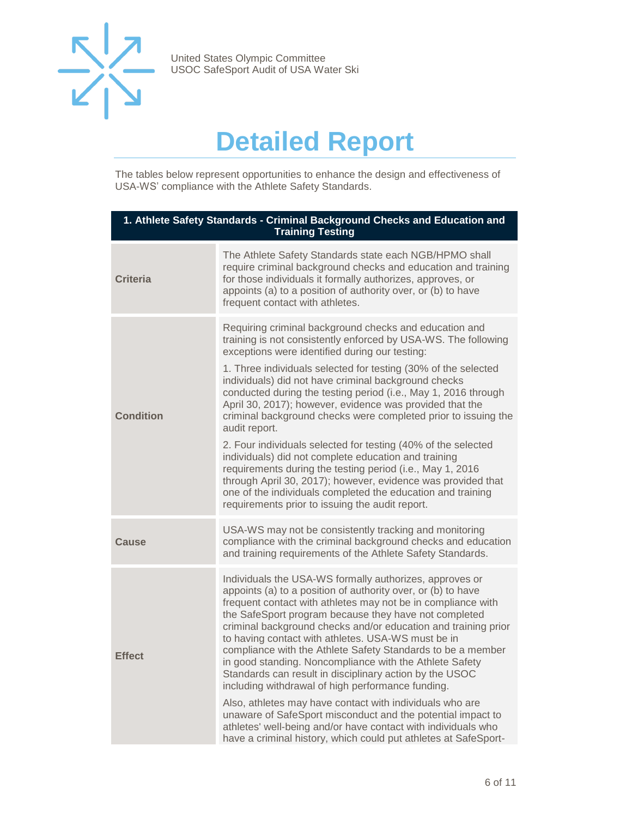

## **Detailed Report**

<span id="page-5-0"></span>The tables below represent opportunities to enhance the design and effectiveness of USA-WS' compliance with the Athlete Safety Standards.

| 1. Athlete Safety Standards - Criminal Background Checks and Education and<br><b>Training Testing</b> |                                                                                                                                                                                                                                                                                                                                                                                                                                                                                                                                                                                                                                                                                                                                                                                                                                                                                               |  |
|-------------------------------------------------------------------------------------------------------|-----------------------------------------------------------------------------------------------------------------------------------------------------------------------------------------------------------------------------------------------------------------------------------------------------------------------------------------------------------------------------------------------------------------------------------------------------------------------------------------------------------------------------------------------------------------------------------------------------------------------------------------------------------------------------------------------------------------------------------------------------------------------------------------------------------------------------------------------------------------------------------------------|--|
| <b>Criteria</b>                                                                                       | The Athlete Safety Standards state each NGB/HPMO shall<br>require criminal background checks and education and training<br>for those individuals it formally authorizes, approves, or<br>appoints (a) to a position of authority over, or (b) to have<br>frequent contact with athletes.                                                                                                                                                                                                                                                                                                                                                                                                                                                                                                                                                                                                      |  |
| Condition                                                                                             | Requiring criminal background checks and education and<br>training is not consistently enforced by USA-WS. The following<br>exceptions were identified during our testing:<br>1. Three individuals selected for testing (30% of the selected<br>individuals) did not have criminal background checks<br>conducted during the testing period (i.e., May 1, 2016 through<br>April 30, 2017); however, evidence was provided that the<br>criminal background checks were completed prior to issuing the<br>audit report.<br>2. Four individuals selected for testing (40% of the selected<br>individuals) did not complete education and training<br>requirements during the testing period (i.e., May 1, 2016<br>through April 30, 2017); however, evidence was provided that<br>one of the individuals completed the education and training<br>requirements prior to issuing the audit report. |  |
| Cause                                                                                                 | USA-WS may not be consistently tracking and monitoring<br>compliance with the criminal background checks and education<br>and training requirements of the Athlete Safety Standards.                                                                                                                                                                                                                                                                                                                                                                                                                                                                                                                                                                                                                                                                                                          |  |
| Effect                                                                                                | Individuals the USA-WS formally authorizes, approves or<br>appoints (a) to a position of authority over, or (b) to have<br>frequent contact with athletes may not be in compliance with<br>the SafeSport program because they have not completed<br>criminal background checks and/or education and training prior<br>to having contact with athletes. USA-WS must be in<br>compliance with the Athlete Safety Standards to be a member<br>in good standing. Noncompliance with the Athlete Safety<br>Standards can result in disciplinary action by the USOC<br>including withdrawal of high performance funding.<br>Also, athletes may have contact with individuals who are<br>unaware of SafeSport misconduct and the potential impact to<br>athletes' well-being and/or have contact with individuals who<br>have a criminal history, which could put athletes at SafeSport-             |  |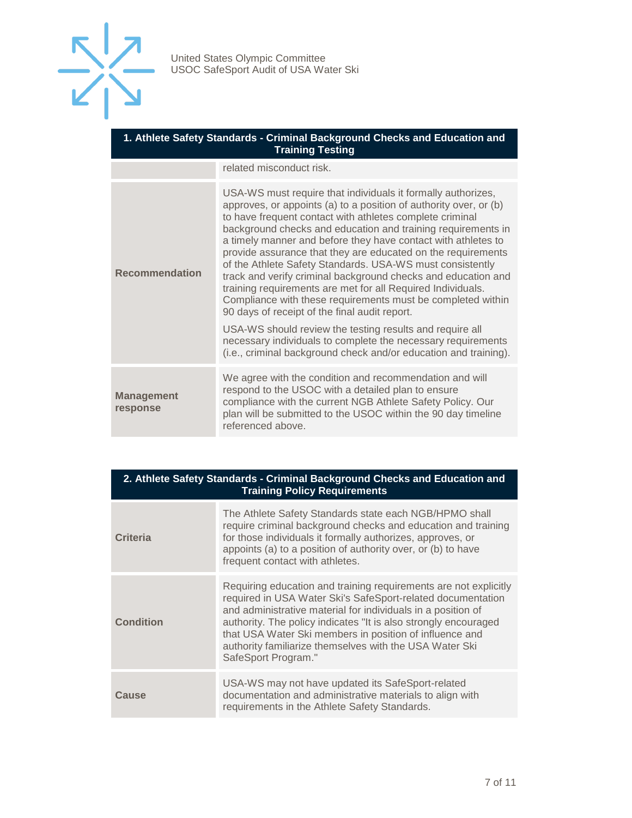

| 1. Athlete Safety Standards - Criminal Background Checks and Education and |
|----------------------------------------------------------------------------|
| <b>Training Testing</b>                                                    |

related misconduct risk.

| <b>Recommendation</b>         | USA-WS must require that individuals it formally authorizes,<br>approves, or appoints (a) to a position of authority over, or (b)<br>to have frequent contact with athletes complete criminal<br>background checks and education and training requirements in<br>a timely manner and before they have contact with athletes to<br>provide assurance that they are educated on the requirements<br>of the Athlete Safety Standards. USA-WS must consistently<br>track and verify criminal background checks and education and<br>training requirements are met for all Required Individuals.<br>Compliance with these requirements must be completed within<br>90 days of receipt of the final audit report. |
|-------------------------------|-------------------------------------------------------------------------------------------------------------------------------------------------------------------------------------------------------------------------------------------------------------------------------------------------------------------------------------------------------------------------------------------------------------------------------------------------------------------------------------------------------------------------------------------------------------------------------------------------------------------------------------------------------------------------------------------------------------|
|                               | USA-WS should review the testing results and require all<br>necessary individuals to complete the necessary requirements<br>(i.e., criminal background check and/or education and training).                                                                                                                                                                                                                                                                                                                                                                                                                                                                                                                |
| <b>Management</b><br>response | We agree with the condition and recommendation and will<br>respond to the USOC with a detailed plan to ensure<br>compliance with the current NGB Athlete Safety Policy. Our<br>plan will be submitted to the USOC within the 90 day timeline<br>referenced above.                                                                                                                                                                                                                                                                                                                                                                                                                                           |

| 2. Athlete Safety Standards - Criminal Background Checks and Education and<br><b>Training Policy Requirements</b> |                                                                                                                                                                                                                                                                                                                                                                                                                 |  |
|-------------------------------------------------------------------------------------------------------------------|-----------------------------------------------------------------------------------------------------------------------------------------------------------------------------------------------------------------------------------------------------------------------------------------------------------------------------------------------------------------------------------------------------------------|--|
| <b>Criteria</b>                                                                                                   | The Athlete Safety Standards state each NGB/HPMO shall<br>require criminal background checks and education and training<br>for those individuals it formally authorizes, approves, or<br>appoints (a) to a position of authority over, or (b) to have<br>frequent contact with athletes.                                                                                                                        |  |
| <b>Condition</b>                                                                                                  | Requiring education and training requirements are not explicitly<br>required in USA Water Ski's SafeSport-related documentation<br>and administrative material for individuals in a position of<br>authority. The policy indicates "It is also strongly encouraged<br>that USA Water Ski members in position of influence and<br>authority familiarize themselves with the USA Water Ski<br>SafeSport Program." |  |
| Cause                                                                                                             | USA-WS may not have updated its SafeSport-related<br>documentation and administrative materials to align with<br>requirements in the Athlete Safety Standards.                                                                                                                                                                                                                                                  |  |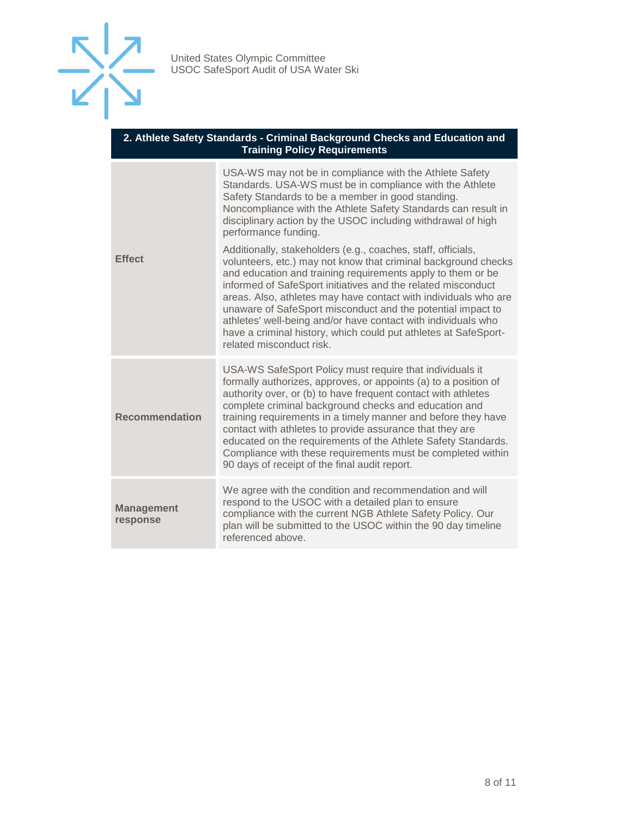

| 2. Athlete Safety Standards - Criminal Background Checks and Education and |  |  |
|----------------------------------------------------------------------------|--|--|
| <b>Training Policy Requirements</b>                                        |  |  |

| <b>Effect</b>                 | USA-WS may not be in compliance with the Athlete Safety<br>Standards. USA-WS must be in compliance with the Athlete<br>Safety Standards to be a member in good standing.<br>Noncompliance with the Athlete Safety Standards can result in<br>disciplinary action by the USOC including withdrawal of high<br>performance funding.                                                                                                                                                                                                                                   |
|-------------------------------|---------------------------------------------------------------------------------------------------------------------------------------------------------------------------------------------------------------------------------------------------------------------------------------------------------------------------------------------------------------------------------------------------------------------------------------------------------------------------------------------------------------------------------------------------------------------|
|                               | Additionally, stakeholders (e.g., coaches, staff, officials,<br>volunteers, etc.) may not know that criminal background checks<br>and education and training requirements apply to them or be<br>informed of SafeSport initiatives and the related misconduct<br>areas. Also, athletes may have contact with individuals who are<br>unaware of SafeSport misconduct and the potential impact to<br>athletes' well-being and/or have contact with individuals who<br>have a criminal history, which could put athletes at SafeSport-<br>related misconduct risk.     |
| <b>Recommendation</b>         | USA-WS SafeSport Policy must require that individuals it<br>formally authorizes, approves, or appoints (a) to a position of<br>authority over, or (b) to have frequent contact with athletes<br>complete criminal background checks and education and<br>training requirements in a timely manner and before they have<br>contact with athletes to provide assurance that they are<br>educated on the requirements of the Athlete Safety Standards.<br>Compliance with these requirements must be completed within<br>90 days of receipt of the final audit report. |
| <b>Management</b><br>response | We agree with the condition and recommendation and will<br>respond to the USOC with a detailed plan to ensure<br>compliance with the current NGB Athlete Safety Policy. Our<br>plan will be submitted to the USOC within the 90 day timeline<br>referenced above.                                                                                                                                                                                                                                                                                                   |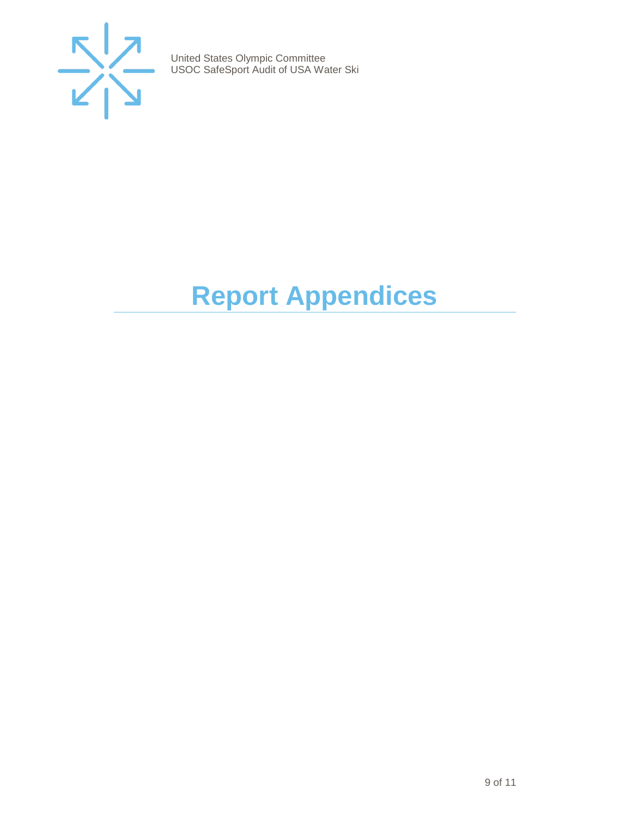

# <span id="page-8-0"></span>**Report Appendices**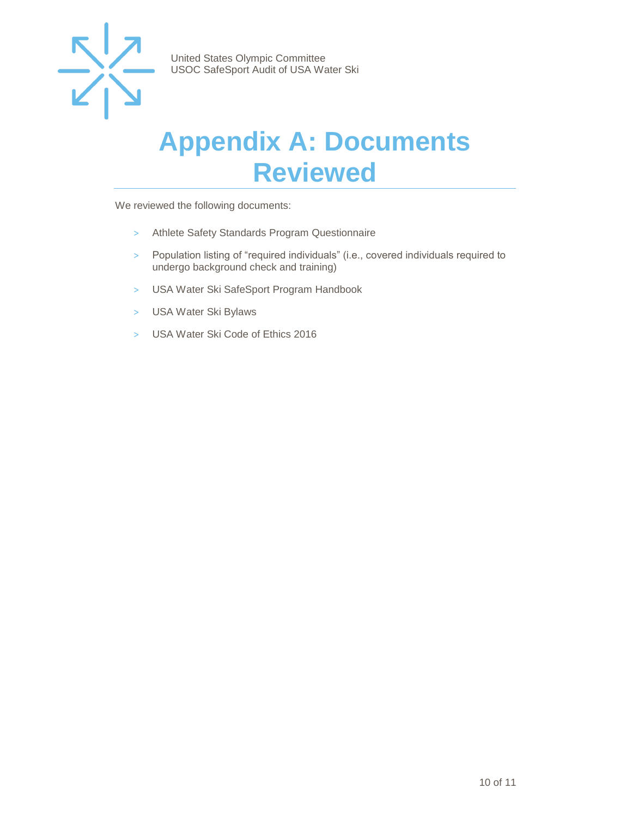

### <span id="page-9-0"></span>**Appendix A: Documents Reviewed**

We reviewed the following documents:

- > Athlete Safety Standards Program Questionnaire
- > Population listing of "required individuals" (i.e., covered individuals required to undergo background check and training)
- > USA Water Ski SafeSport Program Handbook
- > USA Water Ski Bylaws
- > USA Water Ski Code of Ethics 2016